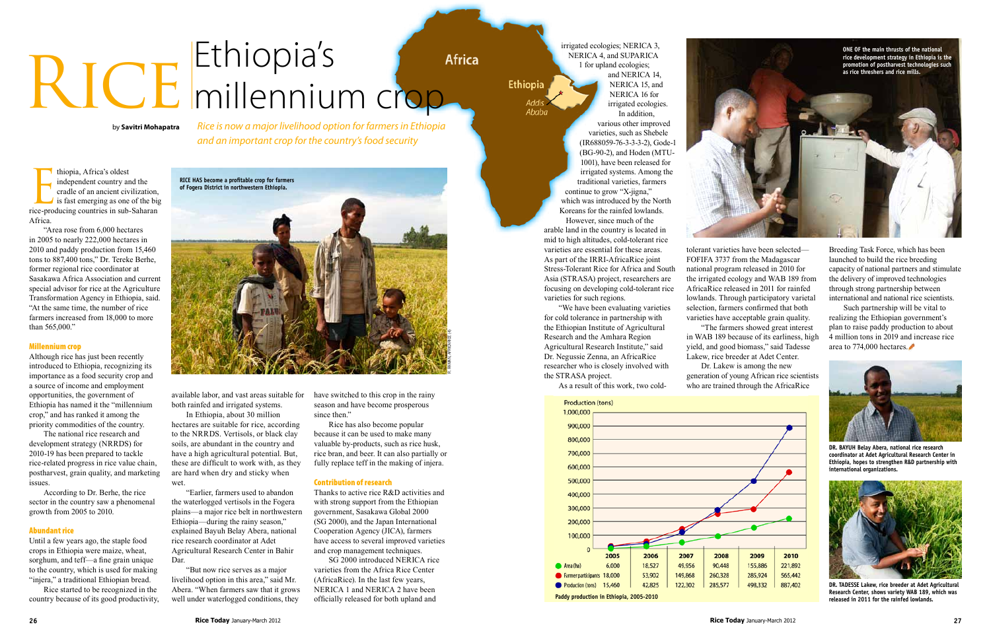thiopia, Africa's oldest<br>independent country and the<br>cradle of an ancient civilization,<br>is fast emerging as one of the big<br>rice-producing countries in sub-Saharan thiopia, Africa's oldest independent country and the cradle of an ancient civilization, is fast emerging as one of the big Africa.

"Area rose from 6,000 hectares in 2005 to nearly 222,000 hectares in 2010 and paddy production from 15,460 tons to 887,400 tons," Dr. Tereke Berhe, former regional rice coordinator at Sasakawa Africa Association and current special advisor for rice at the Agriculture Transformation Agency in Ethiopia, said. "At the same time, the number of rice farmers increased from 18,000 to more than 565,000."

Until a few years ago, the staple food crops in Ethiopia were maize, wheat, sorghum, and teff—a fine grain unique to the country, which is used for making "injera," a traditional Ethiopian bread.

## Millennium crop

Although rice has just been recently introduced to Ethiopia, recognizing its importance as a food security crop and a source of income and employment opportunities, the government of Ethiopia has named it the "millennium crop," and has ranked it among the priority commodities of the country.

The national rice research and development strategy (NRRDS) for 2010-19 has been prepared to tackle rice-related progress in rice value chain, postharvest, grain quality, and marketing issues.

According to Dr. Berhe, the rice sector in the country saw a phenomenal growth from 2005 to 2010.

## Abundant rice

Rice started to be recognized in the country because of its good productivity,

## Ethiopia's RICE millennium crop

*Rice is now a major livelihood option for farmers in Ethiopia and an important crop for the country's food security*

available labor, and vast areas suitable for both rainfed and irrigated systems.

In Ethiopia, about 30 million hectares are suitable for rice, according to the NRRDS. Vertisols, or black clay soils, are abundant in the country and have a high agricultural potential. But, these are difficult to work with, as they are hard when dry and sticky when wet.

"Earlier, farmers used to abandon the waterlogged vertisols in the Fogera plains—a major rice belt in northwestern Ethiopia—during the rainy season," explained Bayuh Belay Abera, national rice research coordinator at Adet Agricultural Research Center in Bahir Dar.

"But now rice serves as a major livelihood option in this area," said Mr. Abera. "When farmers saw that it grows well under waterlogged conditions, they

have switched to this crop in the rainy season and have become prosperous since then."

Rice has also become popular because it can be used to make many valuable by-products, such as rice husk, rice bran, and beer. It can also partially or fully replace teff in the making of injera.

## Contribution of research

Thanks to active rice R&D activities and with strong support from the Ethiopian government, Sasakawa Global 2000 (SG 2000), and the Japan International Cooperation Agency (JICA), farmers have access to several improved varieties and crop management techniques.

SG 2000 introduced NERICA rice varieties from the Africa Rice Center (AfricaRice). In the last few years, NERICA 1 and NERICA 2 have been officially released for both upland and

by **Savitri Mohapatra**

irrigated ecologies; NERICA 3, NERICA 4, and SUPARICA 1 for upland ecologies;

**Africa** 

Ethiopia

and NERICA 14, NERICA 15, and NERICA 16 for irrigated ecologies. In addition,

various other improved varieties, such as Shebele (IR688059-76-3-3-3-2), Gode-1 (BG-90-2), and Hoden (MTU-1001), have been released for irrigated systems. Among the traditional varieties, farmers continue to grow "X-jigna," which was introduced by the North Koreans for the rainfed lowlands. However, since much of the arable land in the country is located in

mid to high altitudes, cold-tolerant rice varieties are essential for these areas. As part of the IRRI-AfricaRice joint Stress-Tolerant Rice for Africa and South Asia (STRASA) project, researchers are focusing on developing cold-tolerant rice varieties for such regions.

"We have been evaluating varieties for cold tolerance in partnership with the Ethiopian Institute of Agricultural Research and the Amhara Region Agricultural Research Institute," said Dr. Negussie Zenna, an AfricaRice researcher who is closely involved with the STRASA project.

As a result of this work, two cold-







**Dr. Tadesse Lakew, rice breeder at Adet Agricultural Research Center, shows variety WAB 189, which was released in 2011 for the rainfed lowlands.**



**Dr. Bayuh Belay Abera, national rice research coordinator at Adet Agricultural Research Center in Ethiopia, hopes to strengthen R&D partnership with international organizations.**

tolerant varieties have been selected— FOFIFA 3737 from the Madagascar national program released in 2010 for the irrigated ecology and WAB 189 from AfricaRice released in 2011 for rainfed lowlands. Through participatory varietal selection, farmers confirmed that both varieties have acceptable grain quality. "The farmers showed great interest in WAB 189 because of its earliness, high yield, and good biomass," said Tadesse Lakew, rice breeder at Adet Center. Dr. Lakew is among the new generation of young African rice scientists



Breeding Task Force, which has been launched to build the rice breeding capacity of national partners and stimulate the delivery of improved technologies through strong partnership between international and national rice scientists.

Such partnership will be vital to realizing the Ethiopian government's plan to raise paddy production to about 4 million tons in 2019 and increase rice area to 774,000 hectares.

**Paddy production in Ethiopia, 2005-2010**

Area (ha)